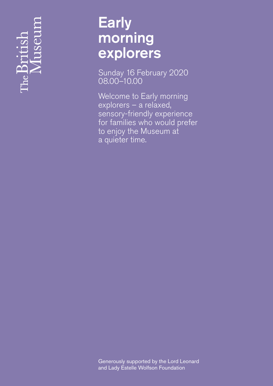# re<br>De

# **Early** morning explorers

Sunday 16 February 2020 08.00– 10.00

Welcome to Early morning explorers – a relaxed, sensory-friendly experience for families who would prefer to enjoy the Museum at a quieter time.

Generously supported by the Lord Leonard and Lady Estelle Wolfson Foundation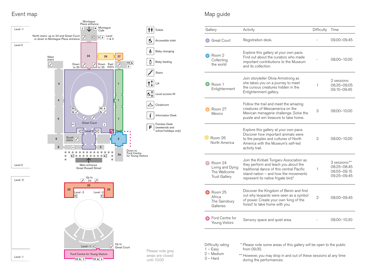

## Event map

| Gallery                                                             | Activity                                                                                                                                                                                                        | <b>Difficulty</b> | Time                                                       |
|---------------------------------------------------------------------|-----------------------------------------------------------------------------------------------------------------------------------------------------------------------------------------------------------------|-------------------|------------------------------------------------------------|
| <b>Great Court</b>                                                  | Registration desk.                                                                                                                                                                                              |                   | 09.00-09.45                                                |
| Room 2<br>Collecting<br>the world                                   | Explore this gallery at your own pace.<br>Find out about the curators who made<br>important contributions to the Museum<br>and its collection.                                                                  |                   | 08.00-10.00                                                |
| Room 1<br>Enlightenment                                             | Join storyteller Olivia Armstrong as<br>she takes you on a journey to meet<br>the curious creatures hidden in the<br>Enlightenment gallery.                                                                     | 1                 | 2 sessions:<br>08.35-09.05<br>09.15-09.45                  |
| Room 27<br>Mexico                                                   | Follow the trail and meet the amazing<br>creatures of Mesoamerica on the<br>Mexican menagerie challenge. Solve the<br>puzzle and win treasure to take home.                                                     | 3                 | $08.00 - 10.00$                                            |
| Room 26<br>North America                                            | Explore this gallery at your own pace.<br>Discover how important animals were<br>to the peoples and cultures of North<br>America with the Museum's self-led<br>activity trail.                                  | $\mathbf{2}$      | $08.00 - 10.00$                                            |
| Room 24<br>Living and Dying<br>The Wellcome<br><b>Trust Gallery</b> | Join the Kiribati Tungaru Association as<br>they perform and teach you about the<br>traditional dance of this central Pacific<br>island nation $-$ and how the movements<br>represent its native frigate bird.* | 1                 | 3 sessions:**<br>08.25-08.45<br>08.55-09.15<br>09.25-09.45 |
| Room 25<br>Africa<br>The Sainsbury<br>Galleries                     | Discover the Kingdom of Benin and find<br>out why leopards were seen as a symbol<br>of power. Create your own 'king of the<br>forest' to take home with you.                                                    | $\mathbf{2}$      | 08.00-09.45                                                |
| Ford Centre for<br>Young Vistors                                    | Sensory space and quiet area.                                                                                                                                                                                   |                   | 08.00-10.30                                                |

# Map guide